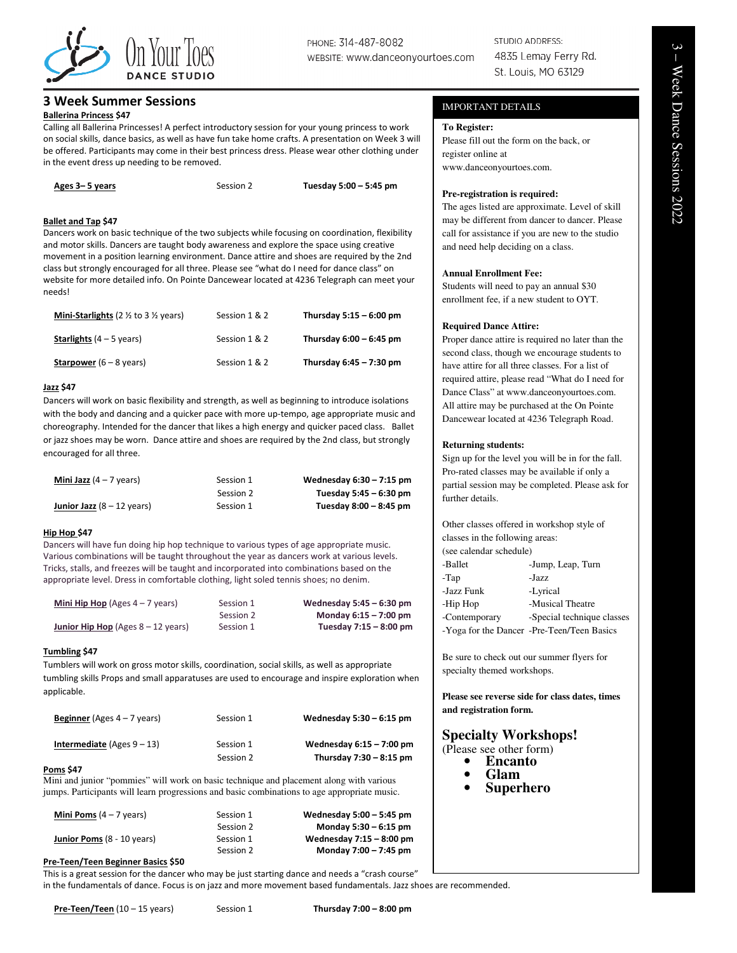

# PHONE: 314-487-8082 WEBSITE: WWW.danceonyourtoes.com

STUDIO ADDRESS: 4835 Lemay Ferry Rd. St. Louis, MO 63129

### 3 Week Summer Sessions

### Ballerina Princess \$47

Calling all Ballerina Princesses! A perfect introductory session for your young princess to work on social skills, dance basics, as well as have fun take home crafts. A presentation on Week 3 will be offered. Participants may come in their best princess dress. Please wear other clothing under in the event dress up needing to be removed.

| Ages 3–5 years | Session 2 | Tuesday 5:00 - 5:45 pm |
|----------------|-----------|------------------------|
|----------------|-----------|------------------------|

### Ballet and Tap \$47

Dancers work on basic technique of the two subjects while focusing on coordination, flexibility and motor skills. Dancers are taught body awareness and explore the space using creative movement in a position learning environment. Dance attire and shoes are required by the 2nd class but strongly encouraged for all three. Please see "what do I need for dance class" on website for more detailed info. On Pointe Dancewear located at 4236 Telegraph can meet your needs!

| <b>Mini-Starlights</b> (2 $\frac{1}{2}$ to 3 $\frac{1}{2}$ years) | Session 1 & 2 | Thursday $5:15 - 6:00$ pm |
|-------------------------------------------------------------------|---------------|---------------------------|
| <b>Starlights</b> $(4 - 5$ years)                                 | Session 1 & 2 | Thursday $6:00 - 6:45$ pm |
| <b>Starpower</b> $(6 - 8$ years)                                  | Session 1 & 2 | Thursday $6:45 - 7:30$ pm |

### Jazz \$47

Dancers will work on basic flexibility and strength, as well as beginning to introduce isolations with the body and dancing and a quicker pace with more up-tempo, age appropriate music and choreography. Intended for the dancer that likes a high energy and quicker paced class. Ballet or jazz shoes may be worn. Dance attire and shoes are required by the 2nd class, but strongly encouraged for all three.

| <b>Mini Jazz</b> $(4 - 7$ years)            | Session 1 | Wednesday $6:30 - 7:15$ pm |
|---------------------------------------------|-----------|----------------------------|
|                                             | Session 2 | Tuesday 5:45 – 6:30 pm     |
| <b>Junior Jazz</b> $(8 - 12 \text{ years})$ | Session 1 | Tuesday 8:00 – 8:45 pm     |

### Hip Hop \$47

Dancers will have fun doing hip hop technique to various types of age appropriate music. Various combinations will be taught throughout the year as dancers work at various levels. Tricks, stalls, and freezes will be taught and incorporated into combinations based on the appropriate level. Dress in comfortable clothing, light soled tennis shoes; no denim.

| <b>Mini Hip Hop</b> (Ages $4 - 7$ years)    | Session 1 | Wednesday 5:45 - 6:30 pm |
|---------------------------------------------|-----------|--------------------------|
|                                             | Session 2 | Monday 6:15 - 7:00 pm    |
| <b>Junior Hip Hop</b> (Ages $8 - 12$ years) | Session 1 | Tuesday 7:15 - 8:00 pm   |

### Tumbling \$47

Tumblers will work on gross motor skills, coordination, social skills, as well as appropriate tumbling skills Props and small apparatuses are used to encourage and inspire exploration when applicable.

| <b>Beginner</b> (Ages $4 - 7$ years) | Session 1 | Wednesday $5:30 - 6:15$ pm |
|--------------------------------------|-----------|----------------------------|
| <b>Intermediate</b> (Ages $9 - 13$ ) | Session 1 | Wednesday 6:15 - 7:00 pm   |
|                                      | Session 2 | Thursday $7:30 - 8:15$ pm  |

### Poms \$47

Mini and junior "pommies" will work on basic technique and placement along with various jumps. Participants will learn progressions and basic combinations to age appropriate music.

| Session 1 | Wednesday 5:00 - 5:45 pm |
|-----------|--------------------------|
| Session 2 | Monday 5:30 - 6:15 pm    |
| Session 1 | Wednesday 7:15 - 8:00 pm |
| Session 2 | Monday 7:00 - 7:45 pm    |
|           |                          |

### Pre-Teen/Teen Beginner Basics \$50

This is a great session for the dancer who may be just starting dance and needs a "crash course" in the fundamentals of dance. Focus is on jazz and more movement based fundamentals. Jazz shoes are recommended.

### IMPORTANT DETAILS

### **To Register:**

Please fill out the form on the back, or register online at www.danceonyourtoes.com.

### **Pre-registration is required:**

The ages listed are approximate. Level of skill may be different from dancer to dancer. Please call for assistance if you are new to the studio and need help deciding on a class.

### **Annual Enrollment Fee:**

Students will need to pay an annual \$30 enrollment fee, if a new student to OYT.

### **Required Dance Attire:**

Proper dance attire is required no later than the second class, though we encourage students to have attire for all three classes. For a list of required attire, please read "What do I need for Dance Class" at www.danceonyourtoes.com. All attire may be purchased at the On Pointe Dancewear located at 4236 Telegraph Road.

### **Returning students:**

Sign up for the level you will be in for the fall. Pro-rated classes may be available if only a partial session may be completed. Please ask for further details.

Other classes offered in workshop style of classes in the following areas: (see calendar schedule) -Ballet -Jump, Leap, Turn -Tap -Jazz -Jazz Funk -Lyrical -Hip Hop -Musical Theatre -Contemporary -Special technique classes -Yoga for the Dancer -Pre-Teen/Teen Basics

Be sure to check out our summer flyers for specialty themed workshops.

**Please see reverse side for class dates, times and registration form.** 

## **Specialty Workshops!**

- (Please see other form)
	- **Encanto**
	- **Glam**
	- **Superhero**